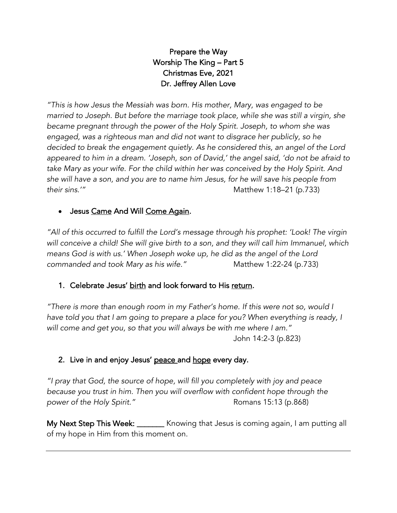# Prepare the Way Worship The King – Part 5 Christmas Eve, 2021 Dr. Jeffrey Allen Love

*"This is how Jesus the Messiah was born. His mother, Mary, was engaged to be married to Joseph. But before the marriage took place, while she was still a virgin, she became pregnant through the power of the Holy Spirit. Joseph, to whom she was engaged, was a righteous man and did not want to disgrace her publicly, so he decided to break the engagement quietly. As he considered this, an angel of the Lord appeared to him in a dream. 'Joseph, son of David,' the angel said, 'do not be afraid to take Mary as your wife. For the child within her was conceived by the Holy Spirit. And she will have a son, and you are to name him Jesus, for he will save his people from their sins.'"* Matthew 1:18–21 (p.733)

# • Jesus Came And Will Come Again.

*"All of this occurred to fulfill the Lord's message through his prophet: 'Look! The virgin will conceive a child! She will give birth to a son, and they will call him Immanuel, which means God is with us.' When Joseph woke up, he did as the angel of the Lord commanded and took Mary as his wife."* Matthew 1:22-24 (p.733)

#### 1. Celebrate Jesus' birth and look forward to His return.

*"There is more than enough room in my Father's home. If this were not so, would I*  have told you that I am going to prepare a place for you? When everything is ready, I *will come and get you, so that you will always be with me where I am."* John 14:2-3 (p.823)

# 2. Live in and enjoy Jesus' peace and hope every day.

*"I pray that God, the source of hope, will fill you completely with joy and peace because you trust in him. Then you will overflow with confident hope through the power of the Holy Spirit."* All *power of the Holy Spirit."* Romans 15:13 (p.868)

My Next Step This Week: \_\_\_\_\_\_\_ Knowing that Jesus is coming again, I am putting all of my hope in Him from this moment on.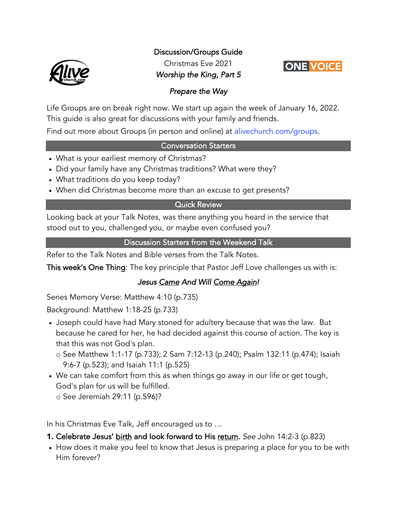Discussion/Groups Guide



Christmas Eve 2021 *Worship the King, Part 5* 



#### *Prepare the Way*

Life Groups are on break right now. We start up again the week of January 16, 2022. This guide is also great for discussions with your family and friends.

Find out more about Groups (in person and online) at alivechurch.com/groups.

#### Conversation Starters

- What is your earliest memory of Christmas?
- Did your family have any Christmas traditions? What were they?
- What traditions do you keep today?
- When did Christmas become more than an excuse to get presents?

#### Quick Review

Looking back at your Talk Notes, was there anything you heard in the service that stood out to you, challenged you, or maybe even confused you?

#### Discussion Starters from the Weekend Talk

Refer to the Talk Notes and Bible verses from the Talk Notes.

This week's One Thing: The key principle that Pastor Jeff Love challenges us with is:

# *Jesus Came And Will Come Again!*

Series Memory Verse: Matthew 4:10 (p.735)

Background: Matthew 1:18-25 (p.733)

- Joseph could have had Mary stoned for adultery because that was the law. But because he cared for her, he had decided against this course of action. The key is that this was not God's plan.
	- o See Matthew 1:1-17 (p.733); 2 Sam 7:12-13 (p.240); Psalm 132:11 (p.474); Isaiah 9:6-7 (p.523); and Isaiah 11:1 (p.525)
- We can take comfort from this as when things go away in our life or get tough, God's plan for us will be fulfilled. o See Jeremiah 29:11 (p.596)?

In his Christmas Eve Talk, Jeff encouraged us to …

- 1. Celebrate Jesus' birth and look forward to His return. *See* John 14:2-3 (p.823)
- How does it make you feel to know that Jesus is preparing a place for you to be with Him forever?